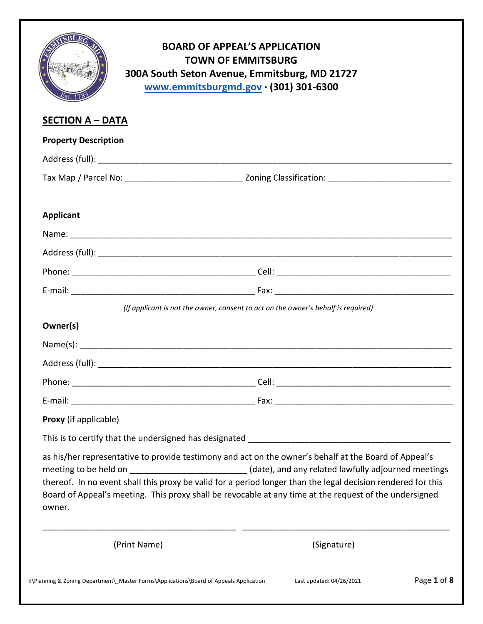|                             | <b>BOARD OF APPEAL'S APPLICATION</b><br><b>TOWN OF EMMITSBURG</b><br>300A South Seton Avenue, Emmitsburg, MD 21727<br>www.emmitsburgmd.gov · (301) 301-6300                                                                                                                                                                                                                                                                           |                          |             |
|-----------------------------|---------------------------------------------------------------------------------------------------------------------------------------------------------------------------------------------------------------------------------------------------------------------------------------------------------------------------------------------------------------------------------------------------------------------------------------|--------------------------|-------------|
| <b>SECTION A - DATA</b>     |                                                                                                                                                                                                                                                                                                                                                                                                                                       |                          |             |
| <b>Property Description</b> |                                                                                                                                                                                                                                                                                                                                                                                                                                       |                          |             |
|                             |                                                                                                                                                                                                                                                                                                                                                                                                                                       |                          |             |
|                             |                                                                                                                                                                                                                                                                                                                                                                                                                                       |                          |             |
| <b>Applicant</b>            |                                                                                                                                                                                                                                                                                                                                                                                                                                       |                          |             |
|                             |                                                                                                                                                                                                                                                                                                                                                                                                                                       |                          |             |
|                             |                                                                                                                                                                                                                                                                                                                                                                                                                                       |                          |             |
|                             |                                                                                                                                                                                                                                                                                                                                                                                                                                       |                          |             |
|                             |                                                                                                                                                                                                                                                                                                                                                                                                                                       |                          |             |
|                             | (If applicant is not the owner, consent to act on the owner's behalf is required)                                                                                                                                                                                                                                                                                                                                                     |                          |             |
| Owner(s)                    |                                                                                                                                                                                                                                                                                                                                                                                                                                       |                          |             |
|                             |                                                                                                                                                                                                                                                                                                                                                                                                                                       |                          |             |
|                             |                                                                                                                                                                                                                                                                                                                                                                                                                                       |                          |             |
|                             |                                                                                                                                                                                                                                                                                                                                                                                                                                       |                          |             |
|                             |                                                                                                                                                                                                                                                                                                                                                                                                                                       |                          |             |
| Proxy (if applicable)       |                                                                                                                                                                                                                                                                                                                                                                                                                                       |                          |             |
|                             |                                                                                                                                                                                                                                                                                                                                                                                                                                       |                          |             |
| owner.                      | as his/her representative to provide testimony and act on the owner's behalf at the Board of Appeal's<br>meeting to be held on _________________________(date), and any related lawfully adjourned meetings<br>thereof. In no event shall this proxy be valid for a period longer than the legal decision rendered for this<br>Board of Appeal's meeting. This proxy shall be revocable at any time at the request of the undersigned |                          |             |
| (Print Name)                |                                                                                                                                                                                                                                                                                                                                                                                                                                       | (Signature)              |             |
|                             | I:\Planning & Zoning Department\_Master Forms\Applications\Board of Appeals Application                                                                                                                                                                                                                                                                                                                                               | Last updated: 04/26/2021 | Page 1 of 8 |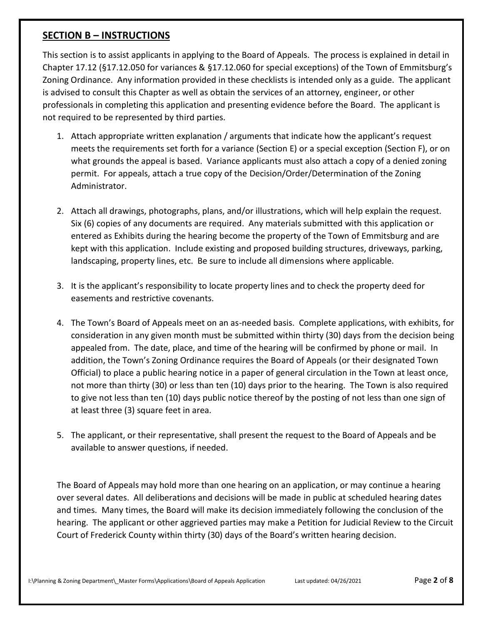#### **SECTION B – INSTRUCTIONS**

This section is to assist applicants in applying to the Board of Appeals. The process is explained in detail in Chapter 17.12 (§17.12.050 for variances & §17.12.060 for special exceptions) of the Town of Emmitsburg's Zoning Ordinance. Any information provided in these checklists is intended only as a guide. The applicant is advised to consult this Chapter as well as obtain the services of an attorney, engineer, or other professionals in completing this application and presenting evidence before the Board. The applicant is not required to be represented by third parties.

- 1. Attach appropriate written explanation / arguments that indicate how the applicant's request meets the requirements set forth for a variance (Section E) or a special exception (Section F), or on what grounds the appeal is based. Variance applicants must also attach a copy of a denied zoning permit. For appeals, attach a true copy of the Decision/Order/Determination of the Zoning Administrator.
- 2. Attach all drawings, photographs, plans, and/or illustrations, which will help explain the request. Six (6) copies of any documents are required. Any materials submitted with this application or entered as Exhibits during the hearing become the property of the Town of Emmitsburg and are kept with this application. Include existing and proposed building structures, driveways, parking, landscaping, property lines, etc. Be sure to include all dimensions where applicable.
- 3. It is the applicant's responsibility to locate property lines and to check the property deed for easements and restrictive covenants.
- 4. The Town's Board of Appeals meet on an as-needed basis. Complete applications, with exhibits, for consideration in any given month must be submitted within thirty (30) days from the decision being appealed from. The date, place, and time of the hearing will be confirmed by phone or mail. In addition, the Town's Zoning Ordinance requires the Board of Appeals (or their designated Town Official) to place a public hearing notice in a paper of general circulation in the Town at least once, not more than thirty (30) or less than ten (10) days prior to the hearing. The Town is also required to give not less than ten (10) days public notice thereof by the posting of not less than one sign of at least three (3) square feet in area.
- 5. The applicant, or their representative, shall present the request to the Board of Appeals and be available to answer questions, if needed.

The Board of Appeals may hold more than one hearing on an application, or may continue a hearing over several dates. All deliberations and decisions will be made in public at scheduled hearing dates and times. Many times, the Board will make its decision immediately following the conclusion of the hearing. The applicant or other aggrieved parties may make a Petition for Judicial Review to the Circuit Court of Frederick County within thirty (30) days of the Board's written hearing decision.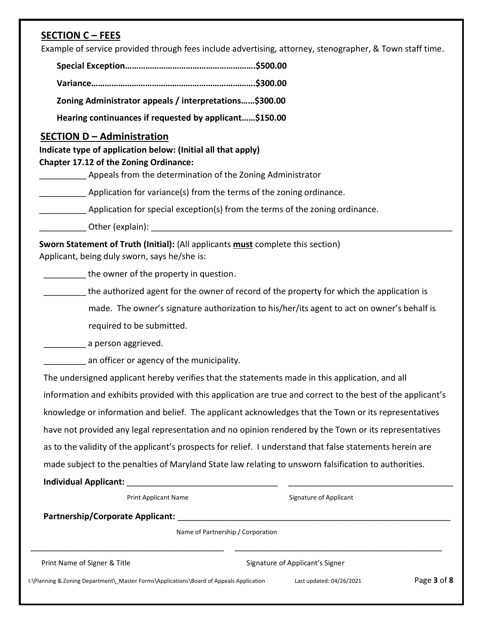# **SECTION C – FEES**

Example of service provided through fees include advertising, attorney, stenographer, & Town staff time.

| Zoning Administrator appeals / interpretations\$300.00 |  |
|--------------------------------------------------------|--|

**Hearing continuances if requested by applicant……\$150.00**

#### **SECTION D – Administration**

 **Indicate type of application below: (Initial all that apply) Chapter 17.12 of the Zoning Ordinance:**

Appeals from the determination of the Zoning Administrator

Application for variance(s) from the terms of the zoning ordinance.

**\_\_\_\_\_\_\_\_\_** Application for special exception(s) from the terms of the zoning ordinance.

\_\_\_\_\_\_\_\_\_\_ Other (explain): \_\_\_\_\_\_\_\_\_\_\_\_\_\_\_\_\_\_\_\_\_\_\_\_\_\_\_\_\_\_\_\_\_\_\_\_\_\_\_\_\_\_\_\_\_\_\_\_\_\_\_\_\_\_\_\_\_\_\_\_\_\_\_\_

 **Sworn Statement of Truth (Initial):** (All applicants **must** complete this section) Applicant, being duly sworn, says he/she is:

the owner of the property in question.

the authorized agent for the owner of record of the property for which the application is

 made. The owner's signature authorization to his/her/its agent to act on owner's behalf is required to be submitted.

**with a gree a** person aggrieved.

an officer or agency of the municipality.

 The undersigned applicant hereby verifies that the statements made in this application, and all information and exhibits provided with this application are true and correct to the best of the applicant's knowledge or information and belief. The applicant acknowledges that the Town or its representatives have not provided any legal representation and no opinion rendered by the Town or its representatives as to the validity of the applicant's prospects for relief. I understand that false statements herein are made subject to the penalties of Maryland State law relating to unsworn falsification to authorities.

**Individual Applicant:** \_\_\_\_\_\_\_\_\_\_\_\_\_\_\_\_\_\_\_\_\_\_\_\_\_\_\_\_\_\_\_\_ \_\_\_\_\_\_\_\_\_\_\_\_\_\_\_\_\_\_\_\_\_\_\_\_\_\_\_\_\_\_\_\_\_\_\_

| <b>Print Applicant Name</b>                                                             |                                   | Signature of Applicant          |             |  |  |
|-----------------------------------------------------------------------------------------|-----------------------------------|---------------------------------|-------------|--|--|
| <b>Partnership/Corporate Applicant:</b>                                                 |                                   |                                 |             |  |  |
|                                                                                         | Name of Partnership / Corporation |                                 |             |  |  |
| Print Name of Signer & Title                                                            |                                   | Signature of Applicant's Signer |             |  |  |
| I:\Planning & Zoning Department\ Master Forms\Applications\Board of Appeals Application |                                   | Last updated: 04/26/2021        | Page 3 of 8 |  |  |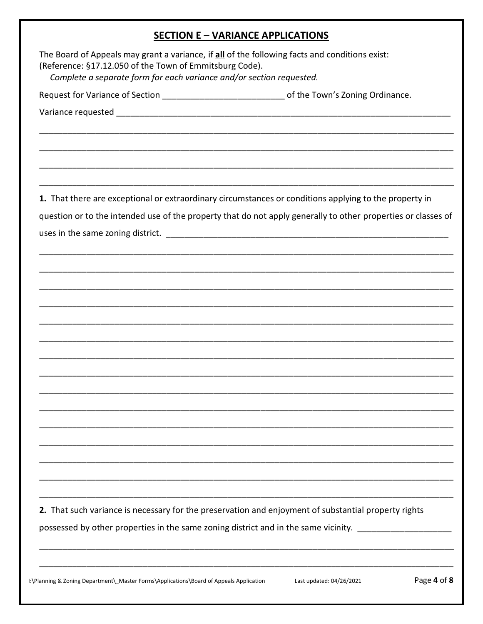# **SECTION E - VARIANCE APPLICATIONS**

| The Board of Appeals may grant a variance, if all of the following facts and conditions exist:<br>(Reference: §17.12.050 of the Town of Emmitsburg Code).<br>Complete a separate form for each variance and/or section requested. |
|-----------------------------------------------------------------------------------------------------------------------------------------------------------------------------------------------------------------------------------|
| Request for Variance of Section ___________________________________of the Town's Zoning Ordinance.                                                                                                                                |
|                                                                                                                                                                                                                                   |
|                                                                                                                                                                                                                                   |
|                                                                                                                                                                                                                                   |
|                                                                                                                                                                                                                                   |
|                                                                                                                                                                                                                                   |
| 1. That there are exceptional or extraordinary circumstances or conditions applying to the property in                                                                                                                            |
|                                                                                                                                                                                                                                   |
| question or to the intended use of the property that do not apply generally to other properties or classes of                                                                                                                     |
|                                                                                                                                                                                                                                   |
|                                                                                                                                                                                                                                   |
|                                                                                                                                                                                                                                   |
|                                                                                                                                                                                                                                   |
|                                                                                                                                                                                                                                   |
|                                                                                                                                                                                                                                   |
|                                                                                                                                                                                                                                   |
|                                                                                                                                                                                                                                   |
|                                                                                                                                                                                                                                   |
|                                                                                                                                                                                                                                   |
|                                                                                                                                                                                                                                   |
|                                                                                                                                                                                                                                   |
|                                                                                                                                                                                                                                   |
|                                                                                                                                                                                                                                   |
|                                                                                                                                                                                                                                   |
|                                                                                                                                                                                                                                   |
|                                                                                                                                                                                                                                   |
| 2. That such variance is necessary for the preservation and enjoyment of substantial property rights                                                                                                                              |
| possessed by other properties in the same zoning district and in the same vicinity.                                                                                                                                               |
|                                                                                                                                                                                                                                   |
|                                                                                                                                                                                                                                   |
|                                                                                                                                                                                                                                   |

I:\Planning & Zoning Department\\_Master Forms\Applications\Board of Appeals Application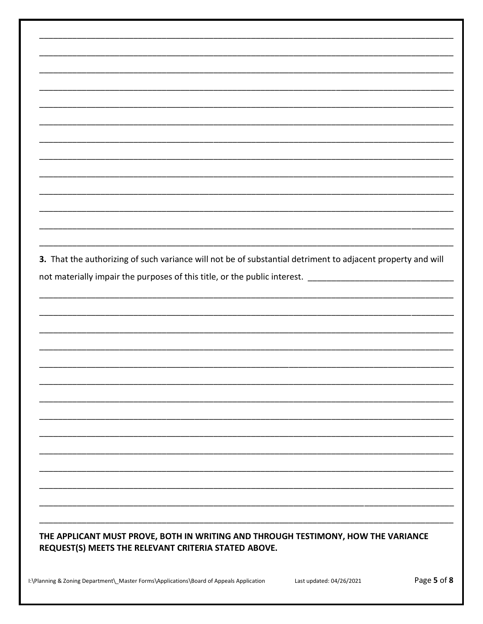| 3. That the authorizing of such variance will not be of substantial detriment to adjacent property and will |
|-------------------------------------------------------------------------------------------------------------|
| not materially impair the purposes of this title, or the public interest.                                   |
|                                                                                                             |
|                                                                                                             |

# THE APPLICANT MUST PROVE, BOTH IN WRITING AND THROUGH TESTIMONY, HOW THE VARIANCE REQUEST(S) MEETS THE RELEVANT CRITERIA STATED ABOVE.

Page 5 of 8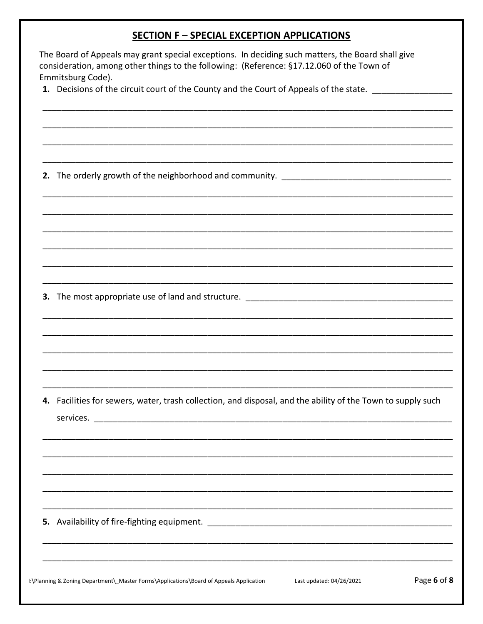### **SECTION F - SPECIAL EXCEPTION APPLICATIONS**

| The Board of Appeals may grant special exceptions. In deciding such matters, the Board shall give |  |
|---------------------------------------------------------------------------------------------------|--|
| consideration, among other things to the following: (Reference: $\S 17.12.060$ of the Town of     |  |
| Emmitsburg Code).                                                                                 |  |

1. Decisions of the circuit court of the County and the Court of Appeals of the state. \_\_\_\_\_\_\_\_\_\_\_\_\_\_\_\_\_\_

3. The most appropriate use of land and structure. \_\_\_\_\_\_\_\_\_\_\_\_\_\_\_\_\_\_\_\_\_\_\_\_\_\_\_\_\_

4. Facilities for sewers, water, trash collection, and disposal, and the ability of the Town to supply such 

I:\Planning & Zoning Department\\_Master Forms\Applications\Board of Appeals Application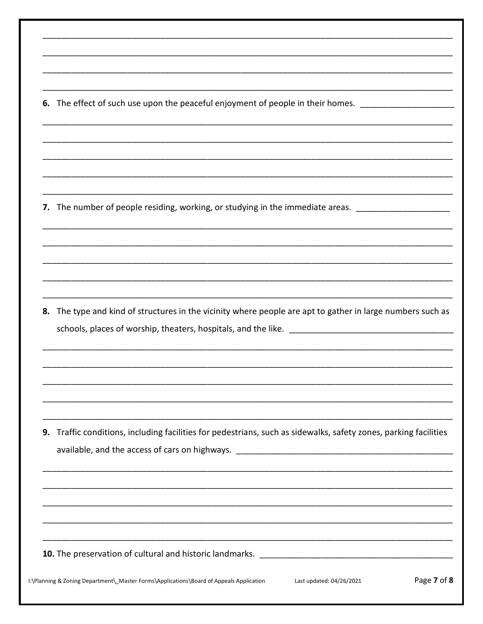6. The effect of such use upon the peaceful enjoyment of people in their homes. \_\_\_\_\_\_\_\_\_\_\_\_\_\_\_\_\_\_\_

7. The number of people residing, working, or studying in the immediate areas. \_\_\_\_\_\_\_\_\_\_\_\_\_\_

8. The type and kind of structures in the vicinity where people are apt to gather in large numbers such as schools, places of worship, theaters, hospitals, and the like. \_\_\_\_\_\_\_\_\_\_

9. Traffic conditions, including facilities for pedestrians, such as sidewalks, safety zones, parking facilities available, and the access of cars on highways. \_\_\_\_\_\_\_\_\_\_\_\_\_\_\_\_\_\_\_\_\_\_\_\_\_\_\_\_\_\_\_\_\_\_

10. The preservation of cultural and historic landmarks. \_\_\_\_\_\_\_\_\_\_\_\_\_\_\_\_\_\_\_\_\_\_\_

I:\Planning & Zoning Department\\_Master Forms\Applications\Board of Appeals Application

Last updated: 04/26/2021

Page 7 of 8